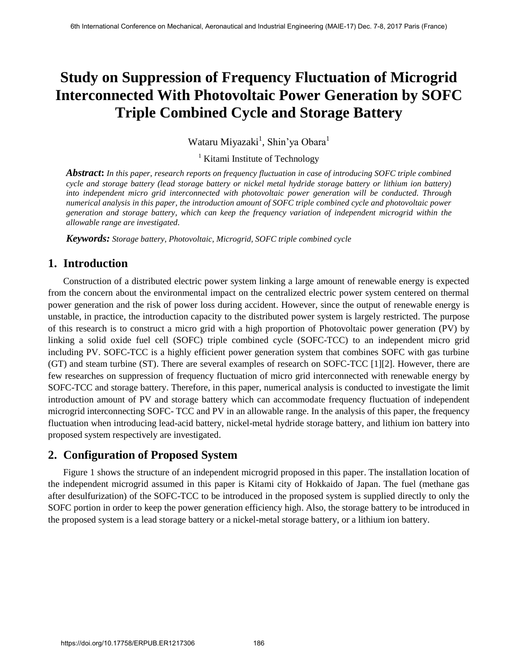# **Study on Suppression of Frequency Fluctuation of Microgrid Interconnected With Photovoltaic Power Generation by SOFC Triple Combined Cycle and Storage Battery**

Wataru Miyazaki<sup>1</sup>, Shin'ya Obara<sup>1</sup>

<sup>1</sup> Kitami Institute of Technology

*Abstract***:** *In this paper, research reports on frequency fluctuation in case of introducing SOFC triple combined cycle and storage battery (lead storage battery or nickel metal hydride storage battery or lithium ion battery) into independent micro grid interconnected with photovoltaic power generation will be conducted. Through numerical analysis in this paper, the introduction amount of SOFC triple combined cycle and photovoltaic power generation and storage battery, which can keep the frequency variation of independent microgrid within the allowable range are investigated.* 

*Keywords: Storage battery, Photovoltaic, Microgrid, SOFC triple combined cycle*

# **1. Introduction**

Construction of a distributed electric power system linking a large amount of renewable energy is expected from the concern about the environmental impact on the centralized electric power system centered on thermal power generation and the risk of power loss during accident. However, since the output of renewable energy is unstable, in practice, the introduction capacity to the distributed power system is largely restricted. The purpose of this research is to construct a micro grid with a high proportion of Photovoltaic power generation (PV) by linking a solid oxide fuel cell (SOFC) triple combined cycle (SOFC-TCC) to an independent micro grid including PV. SOFC-TCC is a highly efficient power generation system that combines SOFC with gas turbine (GT) and steam turbine (ST). There are several examples of research on SOFC-TCC [1][2]. However, there are few researches on suppression of frequency fluctuation of micro grid interconnected with renewable energy by SOFC-TCC and storage battery. Therefore, in this paper, numerical analysis is conducted to investigate the limit introduction amount of PV and storage battery which can accommodate frequency fluctuation of independent microgrid interconnecting SOFC- TCC and PV in an allowable range. In the analysis of this paper, the frequency fluctuation when introducing lead-acid battery, nickel-metal hydride storage battery, and lithium ion battery into proposed system respectively are investigated.

# **2. Configuration of Proposed System**

Figure 1 shows the structure of an independent microgrid proposed in this paper. The installation location of the independent microgrid assumed in this paper is Kitami city of Hokkaido of Japan. The fuel (methane gas after desulfurization) of the SOFC-TCC to be introduced in the proposed system is supplied directly to only the SOFC portion in order to keep the power generation efficiency high. Also, the storage battery to be introduced in the proposed system is a lead storage battery or a nickel-metal storage battery, or a lithium ion battery.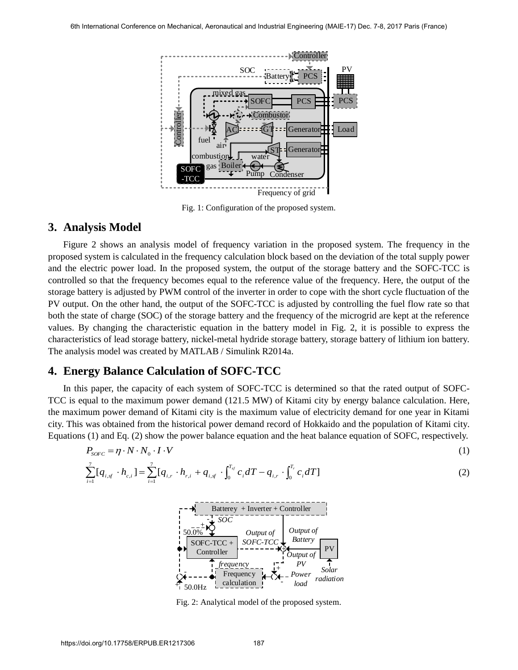

Fig. 1: Configuration of the proposed system.

### **3. Analysis Model**

Figure 2 shows an analysis model of frequency variation in the proposed system. The frequency in the proposed system is calculated in the frequency calculation block based on the deviation of the total supply power and the electric power load. In the proposed system, the output of the storage battery and the SOFC-TCC is controlled so that the frequency becomes equal to the reference value of the frequency. Here, the output of the storage battery is adjusted by PWM control of the inverter in order to cope with the short cycle fluctuation of the PV output. On the other hand, the output of the SOFC-TCC is adjusted by controlling the fuel flow rate so that both the state of charge (SOC) of the storage battery and the frequency of the microgrid are kept at the reference values. By changing the characteristic equation in the battery model in Fig. 2, it is possible to express the characteristics of lead storage battery, nickel-metal hydride storage battery, storage battery of lithium ion battery. The analysis model was created by MATLAB / Simulink R2014a.

## **4. Energy Balance Calculation of SOFC-TCC**

In this paper, the capacity of each system of SOFC-TCC is determined so that the rated output of SOFC-TCC is equal to the maximum power demand (121.5 MW) of Kitami city by energy balance calculation. Here, the maximum power demand of Kitami city is the maximum value of electricity demand for one year in Kitami city. This was obtained from the historical power demand record of Hokkaido and the population of Kitami city. Equations (1) and Eq. (2) show the power balance equation and the heat balance equation of SOFC, respectively.

$$
P_{\text{S0FC}} = \eta \cdot N \cdot N_0 \cdot I \cdot V \tag{1}
$$

$$
\sum_{i=1}^{7} [q_{i,sj} \cdot h_{c,i}] = \sum_{i=1}^{7} [q_{i,r} \cdot h_{r,i} + q_{i,sj} \cdot \int_{0}^{T_{sf}} c_i dT - q_{i,r} \cdot \int_{0}^{T_{r}} c_i dT]
$$
\n(2)



Fig. 2: Analytical model of the proposed system.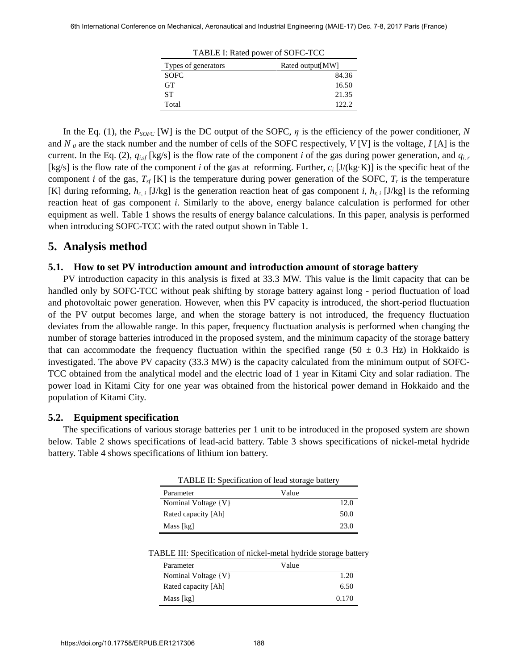| THE LIGHT POWER OF BOT C TCC |                  |  |
|------------------------------|------------------|--|
| Types of generators          | Rated output[MW] |  |
| <b>SOFC</b>                  | 84.36            |  |
| <b>GT</b>                    | 16.50            |  |
| SТ                           | 21.35            |  |
| Total                        | 122.2.           |  |
|                              |                  |  |

TABLE I: Rated power of SOFC-TCC

In the Eq. (1), the  $P_{SORC}$  [W] is the DC output of the SOFC,  $\eta$  is the efficiency of the power conditioner, *N* and *N <sup>0</sup>* are the stack number and the number of cells of the SOFC respectively, *V* [V] is the voltage, *I* [A] is the current. In the Eq. (2),  $q_{i,f}$  [kg/s] is the flow rate of the component *i* of the gas during power generation, and  $q_{i,r}$ [kg/s] is the flow rate of the component *i* of the gas at reforming. Further, *c<sup>i</sup>* [J/(kg·K)] is the specific heat of the component *i* of the gas,  $T_{sf}$  [K] is the temperature during power generation of the SOFC,  $T_r$  is the temperature [K] during reforming,  $h_{c,i}$  [J/kg] is the generation reaction heat of gas component *i*,  $h_{r,i}$  [J/kg] is the reforming reaction heat of gas component *i*. Similarly to the above, energy balance calculation is performed for other equipment as well. Table 1 shows the results of energy balance calculations. In this paper, analysis is performed when introducing SOFC-TCC with the rated output shown in Table 1.

### **5. Analysis method**

#### **5.1. How to set PV introduction amount and introduction amount of storage battery**

PV introduction capacity in this analysis is fixed at 33.3 MW. This value is the limit capacity that can be handled only by SOFC-TCC without peak shifting by storage battery against long - period fluctuation of load and photovoltaic power generation. However, when this PV capacity is introduced, the short-period fluctuation of the PV output becomes large, and when the storage battery is not introduced, the frequency fluctuation deviates from the allowable range. In this paper, frequency fluctuation analysis is performed when changing the number of storage batteries introduced in the proposed system, and the minimum capacity of the storage battery that can accommodate the frequency fluctuation within the specified range (50  $\pm$  0.3 Hz) in Hokkaido is investigated. The above PV capacity (33.3 MW) is the capacity calculated from the minimum output of SOFC-TCC obtained from the analytical model and the electric load of 1 year in Kitami City and solar radiation. The power load in Kitami City for one year was obtained from the historical power demand in Hokkaido and the population of Kitami City.

#### **5.2. Equipment specification**

The specifications of various storage batteries per 1 unit to be introduced in the proposed system are shown below. Table 2 shows specifications of lead-acid battery. Table 3 shows specifications of nickel-metal hydride battery. Table 4 shows specifications of lithium ion battery.

| TABLE II: Specification of lead storage battery |       |  |
|-------------------------------------------------|-------|--|
| Parameter                                       | Value |  |
| Nominal Voltage {V}                             | 12.0  |  |
| Rated capacity [Ah]                             | 50.0  |  |
| Mass [kg]                                       | 23.0  |  |

#### TABLE III: Specification of nickel-metal hydride storage battery

| Parameter           | Value |
|---------------------|-------|
| Nominal Voltage {V} | 1.20  |
| Rated capacity [Ah] | 6.50  |
| Mass [kg]           | 0.170 |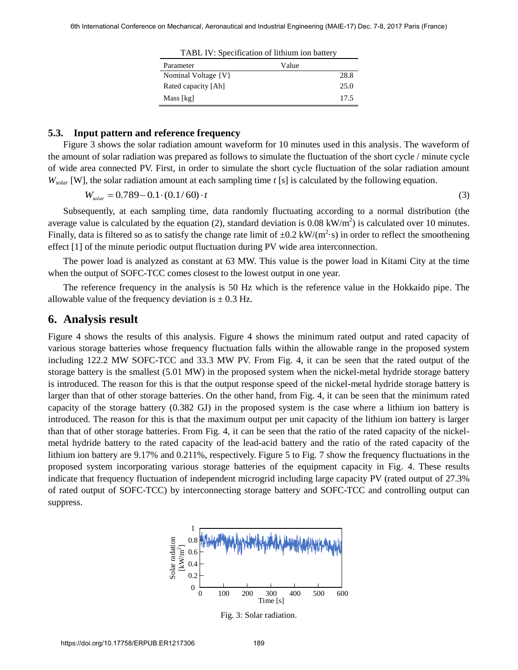| TABL IV: Specification of fittium for battery |       |      |
|-----------------------------------------------|-------|------|
| Parameter                                     | Value |      |
| Nominal Voltage {V}                           |       | 28.8 |
| Rated capacity [Ah]                           |       | 25.0 |
| Mass [kg]                                     |       | 17.5 |

TABL IV: Specification of lithium ion battery

#### **5.3. Input pattern and reference frequency**

Figure 3 shows the solar radiation amount waveform for 10 minutes used in this analysis. The waveform of the amount of solar radiation was prepared as follows to simulate the fluctuation of the short cycle / minute cycle of wide area connected PV. First, in order to simulate the short cycle fluctuation of the solar radiation amount *W*<sub>solar</sub> [W], the solar radiation amount at each sampling time *t* [s] is calculated by the following equation.

$$
W_{\text{solar}} = 0.789 - 0.1 \cdot (0.1/60) \cdot t \tag{3}
$$

Subsequently, at each sampling time, data randomly fluctuating according to a normal distribution (the average value is calculated by the equation (2), standard deviation is 0.08 kW/m<sup>2</sup>) is calculated over 10 minutes. Finally, data is filtered so as to satisfy the change rate limit of  $\pm 0.2 \text{ kW/(m}^2 \cdot \text{s})$  in order to reflect the smoothening effect [1] of the minute periodic output fluctuation during PV wide area interconnection.

The power load is analyzed as constant at 63 MW. This value is the power load in Kitami City at the time when the output of SOFC-TCC comes closest to the lowest output in one year.

The reference frequency in the analysis is 50 Hz which is the reference value in the Hokkaido pipe. The allowable value of the frequency deviation is  $\pm$  0.3 Hz.

### **6. Analysis result**

Figure 4 shows the results of this analysis. Figure 4 shows the minimum rated output and rated capacity of various storage batteries whose frequency fluctuation falls within the allowable range in the proposed system including 122.2 MW SOFC-TCC and 33.3 MW PV. From Fig. 4, it can be seen that the rated output of the storage battery is the smallest (5.01 MW) in the proposed system when the nickel-metal hydride storage battery is introduced. The reason for this is that the output response speed of the nickel-metal hydride storage battery is larger than that of other storage batteries. On the other hand, from Fig. 4, it can be seen that the minimum rated capacity of the storage battery (0.382 GJ) in the proposed system is the case where a lithium ion battery is introduced. The reason for this is that the maximum output per unit capacity of the lithium ion battery is larger than that of other storage batteries. From Fig. 4, it can be seen that the ratio of the rated capacity of the nickelmetal hydride battery to the rated capacity of the lead-acid battery and the ratio of the rated capacity of the lithium ion battery are 9.17% and 0.211%, respectively. Figure 5 to Fig. 7 show the frequency fluctuations in the proposed system incorporating various storage batteries of the equipment capacity in Fig. 4. These results indicate that frequency fluctuation of independent microgrid including large capacity PV (rated output of 27.3% of rated output of SOFC-TCC) by interconnecting storage battery and SOFC-TCC and controlling output can suppress.



Fig. 3: Solar radiation.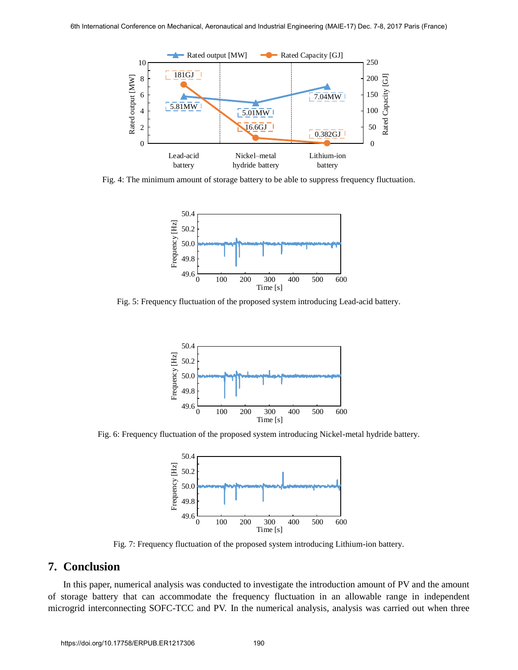

Fig. 4: The minimum amount of storage battery to be able to suppress frequency fluctuation.



Fig. 5: Frequency fluctuation of the proposed system introducing Lead-acid battery.



Fig. 6: Frequency fluctuation of the proposed system introducing Nickel-metal hydride battery.



Fig. 7: Frequency fluctuation of the proposed system introducing Lithium-ion battery.

### **7. Conclusion**

In this paper, numerical analysis was conducted to investigate the introduction amount of PV and the amount of storage battery that can accommodate the frequency fluctuation in an allowable range in independent microgrid interconnecting SOFC-TCC and PV. In the numerical analysis, analysis was carried out when three